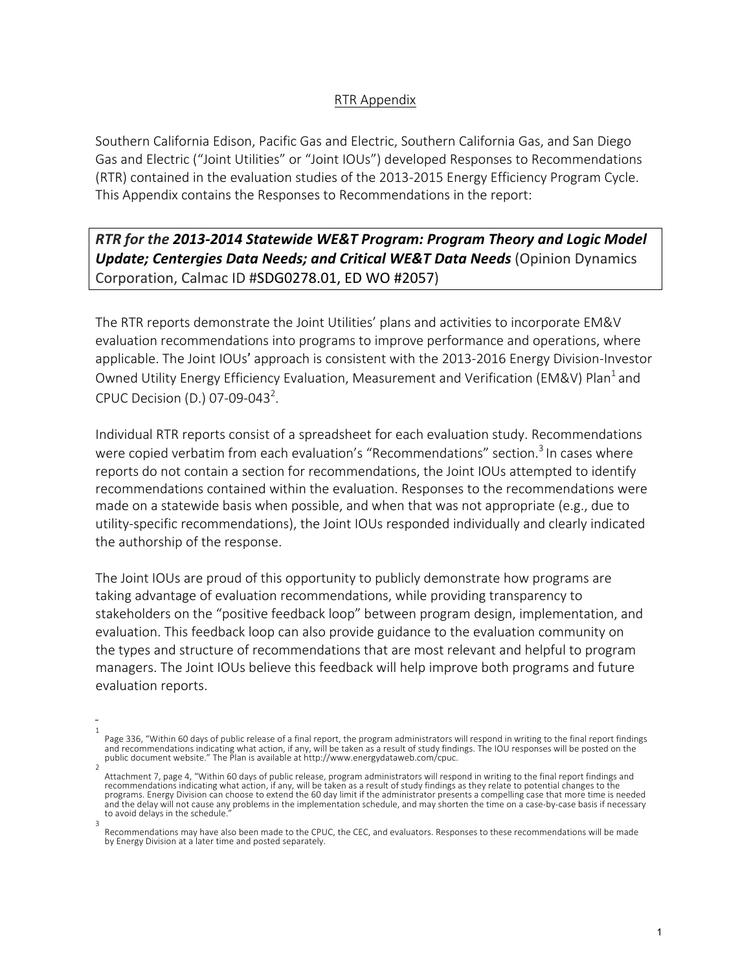#### RTR Appendix

Southern California Edison, Pacific Gas and Electric, Southern California Gas, and San Diego Gas and Electric ("Joint Utilities" or "Joint IOUs") developed Responses to Recommendations (RTR) contained in the evaluation studies of the 2013-2015 Energy Efficiency Program Cycle. This Appendix contains the Responses to Recommendations in the report:

# **RTR** for the 2013-2014 Statewide WE&T Program: Program Theory and Logic Model *Update; Centergies Data Needs; and Critical WE&T Data Needs* (Opinion Dynamics Corporation, Calmac ID #SDG0278.01, ED WO #2057)

The RTR reports demonstrate the Joint Utilities' plans and activities to incorporate EM&V evaluation recommendations into programs to improve performance and operations, where applicable. The Joint IOUs' approach is consistent with the 2013-2016 Energy Division-Investor Owned Utility Energy Efficiency Evaluation, Measurement and Verification (EM&V) Plan<sup>1</sup> and CPUC Decision (D.) 07-09-043<sup>2</sup>.

Individual RTR reports consist of a spreadsheet for each evaluation study. Recommendations were copied verbatim from each evaluation's "Recommendations" section.<sup>3</sup> In cases where reports do not contain a section for recommendations, the Joint IOUs attempted to identify recommendations contained within the evaluation. Responses to the recommendations were made on a statewide basis when possible, and when that was not appropriate (e.g., due to utility-specific recommendations), the Joint IOUs responded individually and clearly indicated the authorship of the response.

The Joint IOUs are proud of this opportunity to publicly demonstrate how programs are taking advantage of evaluation recommendations, while providing transparency to stakeholders on the "positive feedback loop" between program design, implementation, and evaluation. This feedback loop can also provide guidance to the evaluation community on the types and structure of recommendations that are most relevant and helpful to program managers. The Joint IOUs believe this feedback will help improve both programs and future evaluation reports.

<sup>1</sup> Page 336, "Within 60 days of public release of a final report, the program administrators will respond in writing to the final report findings and recommendations indicating what action, if any, will be taken as a result of study findings. The IOU responses will be posted on the<br>public document website." The Plan is available at http://www.energydataweb.com/cpuc.

<sup>2</sup> Attachment 7, page 4, "Within 60 days of public release, program administrators will respond in writing to the final report findings and recommendations indicating what action, if any, will be taken as a result of study findings as they relate to potential changes to the<br>programs. Energy Division can choose to extend the 60 day limit if the administrator pr and the delay will not cause any problems in the implementation schedule, and may shorten the time on a case-by-case basis if necessary to avoid delays in the schedule.

<sup>3</sup> Recommendations may have also been made to the CPUC, the CEC, and evaluators. Responses to these recommendations will be made by Energy Division at a later time and posted separately.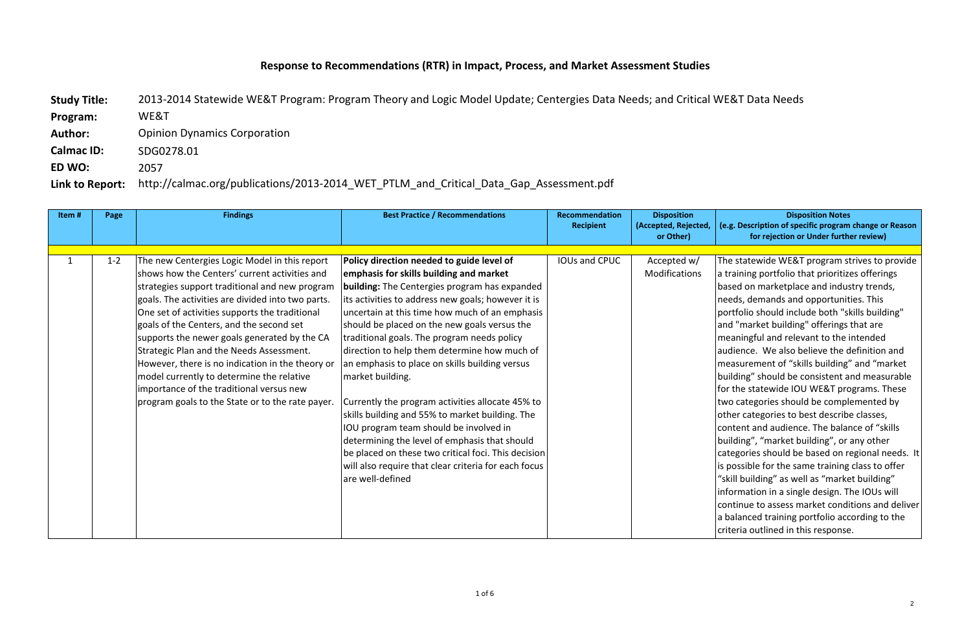# Response to Recommendations (RTR) in Impact, Process, and Market Assessment Studies

http://calmac.org/publications/2013-2014 WET PTLM and Critical Data Gap Assessment.pdf Study Title: 2013-2014 Statewide WE&T Program: Program Theory and Logic Model Update; Centergies Data Needs; and Critical WE&T Data Needs **Program:**  WE&T **Author:** Opinion Dynamics Corporation **Calmac ID:** SDG0278.01 **ED WO:**  2057 Link to Report:

#### **Disposition Notes (e.g. Description of specific program change or Reason for rejection or Under further review)**

The statewide WE&T program strives to provide  $\alpha$  a training portfolio that prioritizes offerings based on marketplace and industry trends, needs, demands and opportunities. This  $|$ portfolio should include both "skills building" and "market building" offerings that are  $\vert$ meaningful and relevant to the intended audience. We also believe the definition and measurement of "skills building" and "market building" should be consistent and measurable  $\frac{1}{10}$  for the statewide IOU WE&T programs. These two categories should be complemented by other categories to best describe classes, content and audience. The balance of "skills building", "market building", or any other categories should be based on regional needs. It is possible for the same training class to offer "skill building" as well as "market building" information in a single design. The IOUs will continue to assess market conditions and deliver  $\alpha$  balanced training portfolio according to the  $|$ criteria outlined in this response.

| Item#        | Page    | <b>Findings</b>                                                                                                                                                                                                                                                                                                                                                                                                                                                                                                                                                                                  | <b>Best Practice / Recommendations</b>                                                                                                                                                                                                                                                                                                                                                                                                                                                                                                                                                                                                                                                                                             | <b>Recommendation</b><br><b>Recipient</b> | <b>Disposition</b><br>(Accepted, Rejected, |
|--------------|---------|--------------------------------------------------------------------------------------------------------------------------------------------------------------------------------------------------------------------------------------------------------------------------------------------------------------------------------------------------------------------------------------------------------------------------------------------------------------------------------------------------------------------------------------------------------------------------------------------------|------------------------------------------------------------------------------------------------------------------------------------------------------------------------------------------------------------------------------------------------------------------------------------------------------------------------------------------------------------------------------------------------------------------------------------------------------------------------------------------------------------------------------------------------------------------------------------------------------------------------------------------------------------------------------------------------------------------------------------|-------------------------------------------|--------------------------------------------|
|              |         |                                                                                                                                                                                                                                                                                                                                                                                                                                                                                                                                                                                                  |                                                                                                                                                                                                                                                                                                                                                                                                                                                                                                                                                                                                                                                                                                                                    |                                           |                                            |
| $\mathbf{1}$ | $1 - 2$ | The new Centergies Logic Model in this report<br>shows how the Centers' current activities and<br>strategies support traditional and new program<br>goals. The activities are divided into two parts.<br>One set of activities supports the traditional<br>goals of the Centers, and the second set<br>supports the newer goals generated by the CA<br>Strategic Plan and the Needs Assessment.<br>However, there is no indication in the theory or<br>model currently to determine the relative<br>importance of the traditional versus new<br>program goals to the State or to the rate payer. | Policy direction needed to guide level of<br>emphasis for skills building and market<br><b>building:</b> The Centergies program has expanded<br>its activities to address new goals; however it is<br>uncertain at this time how much of an emphasis<br>should be placed on the new goals versus the<br>traditional goals. The program needs policy<br>direction to help them determine how much of<br>an emphasis to place on skills building versus<br>market building.<br>Currently the program activities allocate 45% to<br>skills building and 55% to market building. The<br>IOU program team should be involved in<br>determining the level of emphasis that should<br>be placed on these two critical foci. This decision | <b>IOUs and CPUC</b>                      | or Other)<br>Accepted w/<br>Modifications  |
|              |         |                                                                                                                                                                                                                                                                                                                                                                                                                                                                                                                                                                                                  | will also require that clear criteria for each focus<br>are well-defined                                                                                                                                                                                                                                                                                                                                                                                                                                                                                                                                                                                                                                                           |                                           |                                            |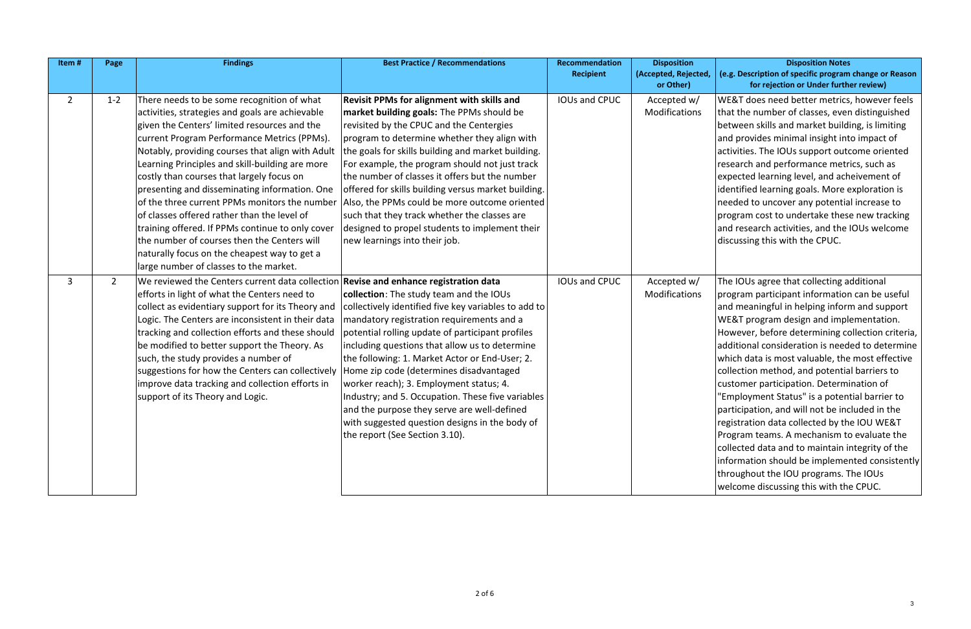WE&T does need better metrics, however feels that the number of classes, even distinguished between skills and market building, is limiting and provides minimal insight into impact of activities. The IOUs support outcome oriented research and performance metrics, such as  $\epsilon$  expected learning level, and acheivement of  $\vert$ identified learning goals. More exploration is needed to uncover any potential increase to program cost to undertake these new tracking and research activities, and the IOUs welcome discussing this with the CPUC.

The IOUs agree that collecting additional  $\alpha$  program participant information can be useful and meaningful in helping inform and support  $W$ E&T program design and implementation.  $However$ , before determining collection criteria,  $\vert$ additional consideration is needed to determine which data is most valuable, the most effective collection method, and potential barriers to customer participation. Determination of "Employment Status" is a potential barrier to  $\alpha$  participation, and will not be included in the registration data collected by the IOU WE&T Program teams. A mechanism to evaluate the collected data and to maintain integrity of the  $\vert$ information should be implemented consistently throughout the IOU programs. The IOUs welcome discussing this with the CPUC.

| Item#          | Page           | <b>Findings</b>                                                                                                                                                                                                                                                                                                                                                                                                                                                                                                                                                                                                                                                                                | <b>Best Practice / Recommendations</b>                                                                                                                                                                                                                                                                                                                                                                                                                                                                                                                                                          | <b>Recommendation</b> | <b>Disposition</b>                |
|----------------|----------------|------------------------------------------------------------------------------------------------------------------------------------------------------------------------------------------------------------------------------------------------------------------------------------------------------------------------------------------------------------------------------------------------------------------------------------------------------------------------------------------------------------------------------------------------------------------------------------------------------------------------------------------------------------------------------------------------|-------------------------------------------------------------------------------------------------------------------------------------------------------------------------------------------------------------------------------------------------------------------------------------------------------------------------------------------------------------------------------------------------------------------------------------------------------------------------------------------------------------------------------------------------------------------------------------------------|-----------------------|-----------------------------------|
|                |                |                                                                                                                                                                                                                                                                                                                                                                                                                                                                                                                                                                                                                                                                                                |                                                                                                                                                                                                                                                                                                                                                                                                                                                                                                                                                                                                 | <b>Recipient</b>      | (Accepted, Rejected,<br>or Other) |
| $\overline{2}$ | $1 - 2$        | There needs to be some recognition of what<br>activities, strategies and goals are achievable<br>given the Centers' limited resources and the<br>current Program Performance Metrics (PPMs).<br>Notably, providing courses that align with Adult<br>Learning Principles and skill-building are more<br>costly than courses that largely focus on<br>presenting and disseminating information. One<br>of the three current PPMs monitors the number<br>of classes offered rather than the level of<br>training offered. If PPMs continue to only cover<br>the number of courses then the Centers will<br>naturally focus on the cheapest way to get a<br>large number of classes to the market. | <b>Revisit PPMs for alignment with skills and</b><br>market building goals: The PPMs should be<br>revisited by the CPUC and the Centergies<br>program to determine whether they align with<br>the goals for skills building and market building.<br>For example, the program should not just track<br>the number of classes it offers but the number<br>offered for skills building versus market building.<br>Also, the PPMs could be more outcome oriented<br>such that they track whether the classes are<br>designed to propel students to implement their<br>new learnings into their job. | <b>IOUs and CPUC</b>  | Accepted w/<br>Modifications      |
| 3              | $\overline{2}$ | We reviewed the Centers current data collection Revise and enhance registration data<br>efforts in light of what the Centers need to<br>collect as evidentiary support for its Theory and<br>Logic. The Centers are inconsistent in their data<br>tracking and collection efforts and these should<br>be modified to better support the Theory. As<br>such, the study provides a number of<br>suggestions for how the Centers can collectively<br>improve data tracking and collection efforts in<br>support of its Theory and Logic.                                                                                                                                                          | collection: The study team and the IOUs<br>collectively identified five key variables to add to<br>mandatory registration requirements and a<br>potential rolling update of participant profiles<br>including questions that allow us to determine<br>the following: 1. Market Actor or End-User; 2.<br>Home zip code (determines disadvantaged<br>worker reach); 3. Employment status; 4.<br>Industry; and 5. Occupation. These five variables<br>and the purpose they serve are well-defined<br>with suggested question designs in the body of<br>the report (See Section 3.10).              | <b>IOUs and CPUC</b>  | Accepted w/<br>Modifications      |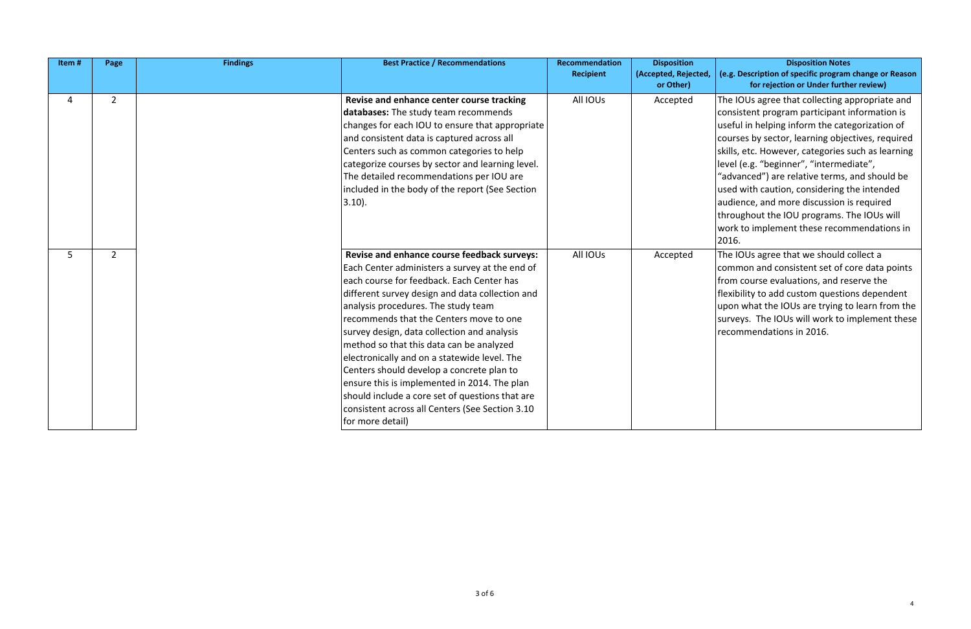The IOUs agree that collecting appropriate and  $\vert$  consistent program participant information is  $\vert$ useful in helping inform the categorization of courses by sector, learning objectives, required skills, etc. However, categories such as learning level (e.g. "beginner", "intermediate",

"advanced") are relative terms, and should be  $\vert$  used with caution, considering the intended audience, and more discussion is required throughout the IOU programs. The IOUs will work to implement these recommendations in 2016.

The IOUs agree that we should collect a common and consistent set of core data points  $from course evaluations, and reserve the$  $\left|$  flexibility to add custom questions dependent upon what the IOUs are trying to learn from the  $\left|$  surveys. The IOUs will work to implement these recommendations in 2016.

| Item# | Page           | <b>Findings</b> | <b>Best Practice / Recommendations</b>                                                                                                                                                                                                                                                                                                                                                                                                                                                                                                                                                                                                            | Recommendation<br><b>Recipient</b> | <b>Disposition</b><br>(Accepted, Rejected,<br>or Other) |
|-------|----------------|-----------------|---------------------------------------------------------------------------------------------------------------------------------------------------------------------------------------------------------------------------------------------------------------------------------------------------------------------------------------------------------------------------------------------------------------------------------------------------------------------------------------------------------------------------------------------------------------------------------------------------------------------------------------------------|------------------------------------|---------------------------------------------------------|
| 4     | $\overline{2}$ |                 | Revise and enhance center course tracking<br>databases: The study team recommends<br>changes for each IOU to ensure that appropriate<br>and consistent data is captured across all<br>Centers such as common categories to help<br>categorize courses by sector and learning level.<br>The detailed recommendations per IOU are<br>included in the body of the report (See Section<br>(3.10).                                                                                                                                                                                                                                                     | All IOUs                           | Accepted                                                |
| 5     | $\overline{2}$ |                 | Revise and enhance course feedback surveys:<br>Each Center administers a survey at the end of<br>each course for feedback. Each Center has<br>different survey design and data collection and<br>analysis procedures. The study team<br>recommends that the Centers move to one<br>survey design, data collection and analysis<br>method so that this data can be analyzed<br>electronically and on a statewide level. The<br>Centers should develop a concrete plan to<br>ensure this is implemented in 2014. The plan<br>should include a core set of questions that are<br>consistent across all Centers (See Section 3.10<br>for more detail) | All IOUs                           | Accepted                                                |

4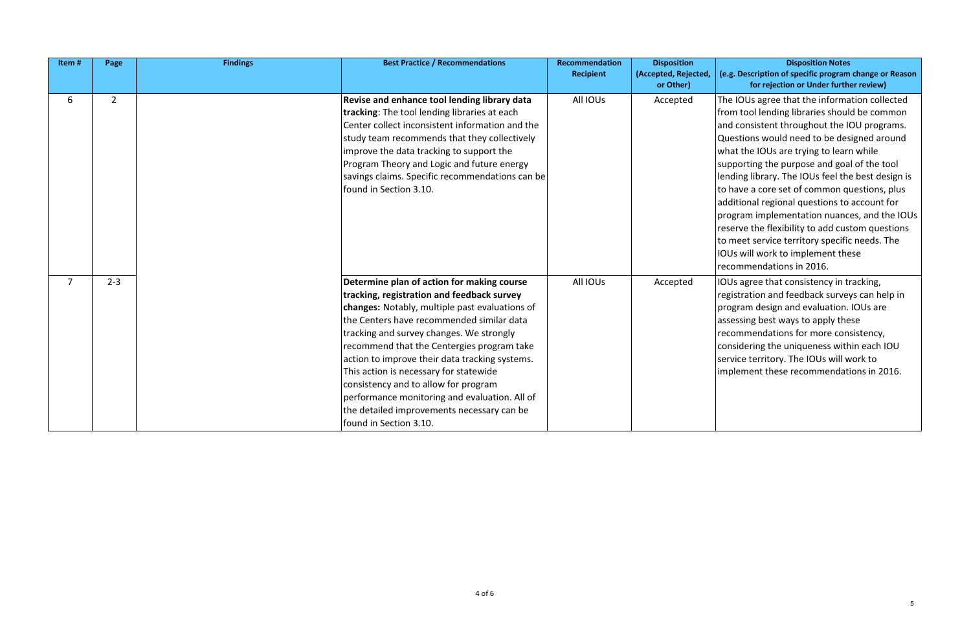The IOUs agree that the information collected from tool lending libraries should be common and consistent throughout the IOU programs. Questions would need to be designed around what the IOUs are trying to learn while supporting the purpose and goal of the tool  $\vert$ lending library. The IOUs feel the best design is  $\vert$  to have a core set of common questions, plus additional regional questions to account for  $\beta$  program implementation nuances, and the IOUs  $\frac{1}{1}$  reserve the flexibility to add custom questions to meet service territory specific needs. The IOUs will work to implement these recommendations in 2016.

 $\vert$ IOUs agree that consistency in tracking,  $\vert$ registration and feedback surveys can help in program design and evaluation. IOUs are  $\sqrt{\frac{1}{1}}$  assessing best ways to apply these recommendations for more consistency, considering the uniqueness within each IOU service territory. The IOUs will work to implement these recommendations in 2016.

| Item#          | Page           | <b>Findings</b> | <b>Best Practice / Recommendations</b>                                                                                                                                                                                                                                                                                                                                                                                                                                                                                                          | <b>Recommendation</b><br><b>Recipient</b> | <b>Disposition</b><br>(Accepted, Rejected,<br>or Other) |
|----------------|----------------|-----------------|-------------------------------------------------------------------------------------------------------------------------------------------------------------------------------------------------------------------------------------------------------------------------------------------------------------------------------------------------------------------------------------------------------------------------------------------------------------------------------------------------------------------------------------------------|-------------------------------------------|---------------------------------------------------------|
| 6              | $\overline{2}$ |                 | Revise and enhance tool lending library data<br>tracking: The tool lending libraries at each<br>Center collect inconsistent information and the<br>study team recommends that they collectively<br>improve the data tracking to support the<br>Program Theory and Logic and future energy<br>savings claims. Specific recommendations can be<br>found in Section 3.10.                                                                                                                                                                          | All IOUs                                  | Accepted                                                |
| $\overline{7}$ | $2 - 3$        |                 | Determine plan of action for making course<br>tracking, registration and feedback survey<br>changes: Notably, multiple past evaluations of<br>lthe Centers have recommended similar data<br>tracking and survey changes. We strongly<br>recommend that the Centergies program take<br>action to improve their data tracking systems.<br>This action is necessary for statewide<br>consistency and to allow for program<br>performance monitoring and evaluation. All of<br>the detailed improvements necessary can be<br>found in Section 3.10. | All IOUs                                  | Accepted                                                |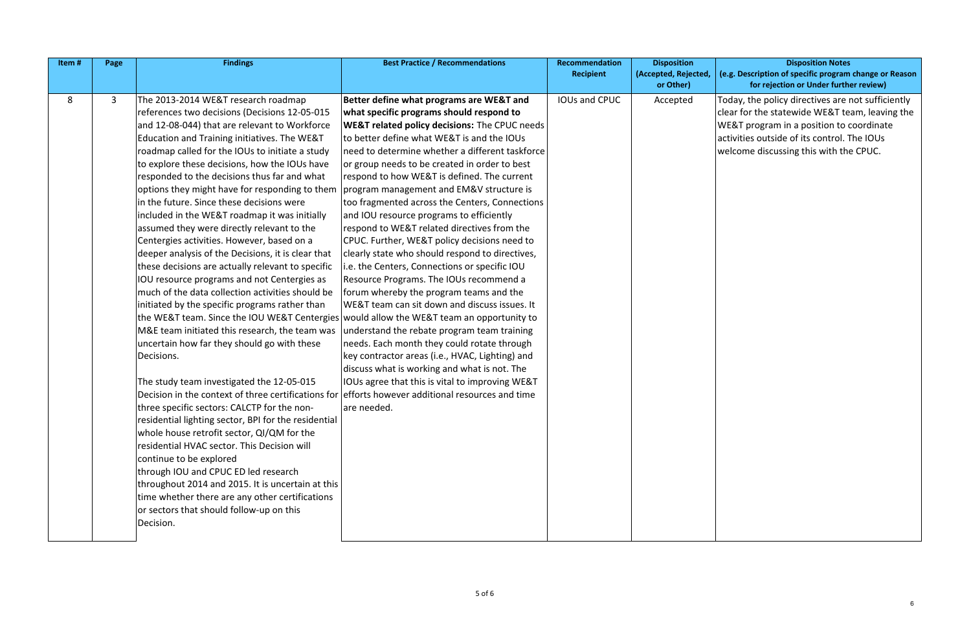| Item# | Page | <b>Findings</b>                                                                                   | <b>Best Practice / Recommendations</b>                   | Recommendation       | <b>Disposition</b>   |
|-------|------|---------------------------------------------------------------------------------------------------|----------------------------------------------------------|----------------------|----------------------|
|       |      |                                                                                                   |                                                          | <b>Recipient</b>     | (Accepted, Rejected, |
|       |      |                                                                                                   |                                                          |                      | or Other)            |
| 8     | 3    | The 2013-2014 WE&T research roadmap                                                               | Better define what programs are WE&T and                 | <b>IOUs and CPUC</b> | Accepted             |
|       |      | references two decisions (Decisions 12-05-015                                                     | what specific programs should respond to                 |                      |                      |
|       |      | and 12-08-044) that are relevant to Workforce                                                     | <b>WE&amp;T related policy decisions: The CPUC needs</b> |                      |                      |
|       |      | Education and Training initiatives. The WE&T                                                      | to better define what WE&T is and the IOUs               |                      |                      |
|       |      | roadmap called for the IOUs to initiate a study                                                   | need to determine whether a different taskforce          |                      |                      |
|       |      | to explore these decisions, how the IOUs have                                                     | or group needs to be created in order to best            |                      |                      |
|       |      | responded to the decisions thus far and what                                                      | respond to how WE&T is defined. The current              |                      |                      |
|       |      | options they might have for responding to them                                                    | program management and EM&V structure is                 |                      |                      |
|       |      | in the future. Since these decisions were                                                         | too fragmented across the Centers, Connections           |                      |                      |
|       |      | included in the WE&T roadmap it was initially                                                     | and IOU resource programs to efficiently                 |                      |                      |
|       |      | assumed they were directly relevant to the                                                        | respond to WE&T related directives from the              |                      |                      |
|       |      | Centergies activities. However, based on a                                                        | CPUC. Further, WE&T policy decisions need to             |                      |                      |
|       |      | deeper analysis of the Decisions, it is clear that                                                | clearly state who should respond to directives,          |                      |                      |
|       |      | these decisions are actually relevant to specific                                                 | i.e. the Centers, Connections or specific IOU            |                      |                      |
|       |      | IOU resource programs and not Centergies as                                                       | Resource Programs. The IOUs recommend a                  |                      |                      |
|       |      | much of the data collection activities should be                                                  | forum whereby the program teams and the                  |                      |                      |
|       |      | initiated by the specific programs rather than                                                    | WE&T team can sit down and discuss issues. It            |                      |                      |
|       |      | the WE&T team. Since the IOU WE&T Centergies would allow the WE&T team an opportunity to          |                                                          |                      |                      |
|       |      | M&E team initiated this research, the team was                                                    | understand the rebate program team training              |                      |                      |
|       |      | uncertain how far they should go with these                                                       | needs. Each month they could rotate through              |                      |                      |
|       |      | Decisions.                                                                                        | key contractor areas (i.e., HVAC, Lighting) and          |                      |                      |
|       |      |                                                                                                   | discuss what is working and what is not. The             |                      |                      |
|       |      | The study team investigated the 12-05-015                                                         | IOUs agree that this is vital to improving WE&T          |                      |                      |
|       |      | Decision in the context of three certifications for efforts however additional resources and time |                                                          |                      |                      |
|       |      | three specific sectors: CALCTP for the non-                                                       | are needed.                                              |                      |                      |
|       |      | residential lighting sector, BPI for the residential                                              |                                                          |                      |                      |
|       |      | whole house retrofit sector, QI/QM for the                                                        |                                                          |                      |                      |
|       |      | residential HVAC sector. This Decision will                                                       |                                                          |                      |                      |
|       |      | continue to be explored                                                                           |                                                          |                      |                      |
|       |      | through IOU and CPUC ED led research                                                              |                                                          |                      |                      |
|       |      | throughout 2014 and 2015. It is uncertain at this                                                 |                                                          |                      |                      |
|       |      | time whether there are any other certifications                                                   |                                                          |                      |                      |
|       |      | or sectors that should follow-up on this                                                          |                                                          |                      |                      |
|       |      | Decision.                                                                                         |                                                          |                      |                      |
|       |      |                                                                                                   |                                                          |                      |                      |

Today, the policy directives are not sufficiently  $\vert$  clear for the statewide WE&T team, leaving the  $WE&T$  program in a position to coordinate activities outside of its control. The IOUs welcome discussing this with the CPUC.